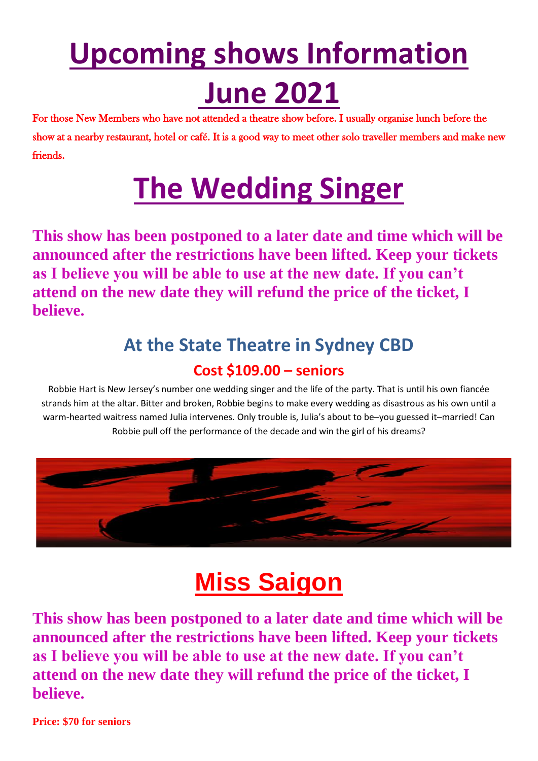# **Upcoming shows Information June 2021**

For those New Members who have not attended a theatre show before. I usually organise lunch before the show at a nearby restaurant, hotel or café. It is a good way to meet other solo traveller members and make new friends.

## **The Wedding Singer**

**This show has been postponed to a later date and time which will be announced after the restrictions have been lifted. Keep your tickets as I believe you will be able to use at the new date. If you can't attend on the new date they will refund the price of the ticket, I believe.**

### **At the State Theatre in Sydney CBD Cost \$109.00 – seniors**

Robbie Hart is New Jersey's number one wedding singer and the life of the party. That is until his own fiancée strands him at the altar. Bitter and broken, Robbie begins to make every wedding as disastrous as his own until a warm-hearted waitress named Julia intervenes. Only trouble is, Julia's about to be–you guessed it–married! Can Robbie pull off the performance of the decade and win the girl of his dreams?



### **Miss Saigon**

**This show has been postponed to a later date and time which will be announced after the restrictions have been lifted. Keep your tickets as I believe you will be able to use at the new date. If you can't attend on the new date they will refund the price of the ticket, I believe.**

**Price: \$70 for seniors**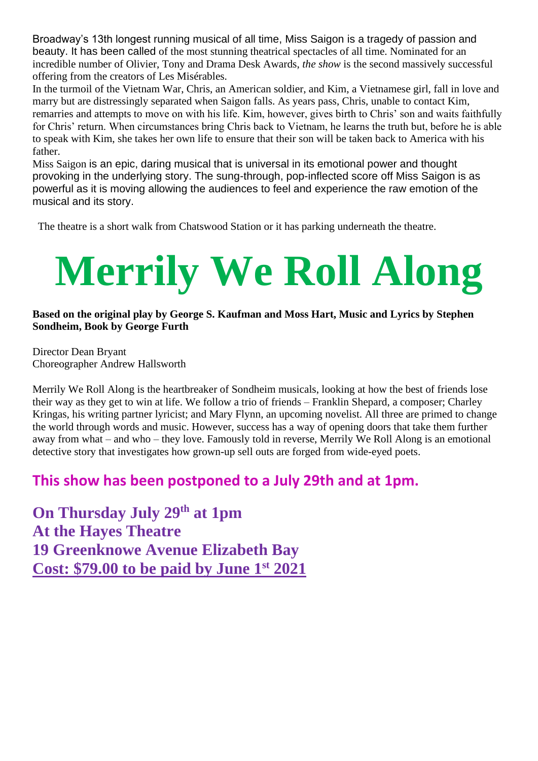Broadway's 13th longest running musical of all time, Miss Saigon is a tragedy of passion and beauty. It has been called of the most stunning theatrical spectacles of all time. Nominated for an incredible number of Olivier, Tony and Drama Desk Awards, *the show* is the second massively successful offering from the creators of Les Misérables.

In the turmoil of the Vietnam War, Chris, an American soldier, and Kim, a Vietnamese girl, fall in love and marry but are distressingly separated when Saigon falls. As years pass, Chris, unable to contact Kim, remarries and attempts to move on with his life. Kim, however, gives birth to Chris' son and waits faithfully for Chris' return. When circumstances bring Chris back to Vietnam, he learns the truth but, before he is able to speak with Kim, she takes her own life to ensure that their son will be taken back to America with his father.

Miss Saigon is an epic, daring musical that is universal in its emotional power and thought provoking in the underlying story. The sung-through, pop-inflected score off Miss Saigon is as powerful as it is moving allowing the audiences to feel and experience the raw emotion of the musical and its story.

The theatre is a short walk from Chatswood Station or it has parking underneath the theatre.

# **Merrily We Roll Along**

#### **Based on the original play by George S. Kaufman and Moss Hart, Music and Lyrics by Stephen Sondheim, Book by George Furth**

Director Dean Bryant Choreographer Andrew Hallsworth

Merrily We Roll Along is the heartbreaker of Sondheim musicals, looking at how the best of friends lose their way as they get to win at life. We follow a trio of friends – Franklin Shepard, a composer; Charley Kringas, his writing partner lyricist; and Mary Flynn, an upcoming novelist. All three are primed to change the world through words and music. However, success has a way of opening doors that take them further away from what – and who – they love. Famously told in reverse, Merrily We Roll Along is an emotional detective story that investigates how grown-up sell outs are forged from wide-eyed poets.

### **This show has been postponed to a July 29th and at 1pm.**

**On Thursday July 29th at 1pm At the Hayes Theatre 19 Greenknowe Avenue Elizabeth Bay Cost: \$79.00 to be paid by June 1st 2021**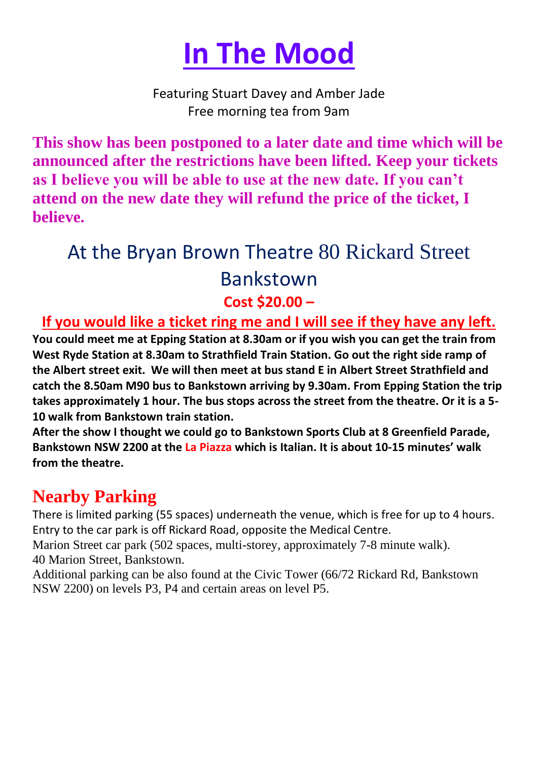

Featuring Stuart Davey and Amber Jade Free morning tea from 9am

**This show has been postponed to a later date and time which will be announced after the restrictions have been lifted. Keep your tickets as I believe you will be able to use at the new date. If you can't attend on the new date they will refund the price of the ticket, I believe.**

### At the Bryan Brown Theatre 80 Rickard Street Bankstown **Cost \$20.00 –**

### **If you would like a ticket ring me and I will see if they have any left.**

**You could meet me at Epping Station at 8.30am or if you wish you can get the train from West Ryde Station at 8.30am to Strathfield Train Station. Go out the right side ramp of the Albert street exit. We will then meet at bus stand E in Albert Street Strathfield and catch the 8.50am M90 bus to Bankstown arriving by 9.30am. From Epping Station the trip takes approximately 1 hour. The bus stops across the street from the theatre. Or it is a 5- 10 walk from Bankstown train station.**

**After the show I thought we could go to Bankstown Sports Club at 8 Greenfield Parade, Bankstown NSW 2200 at the La Piazza which is Italian. It is about 10-15 minutes' walk from the theatre.**

### **Nearby Parking**

There is limited parking (55 spaces) underneath the venue, which is free for up to 4 hours. Entry to the car park is off Rickard Road, opposite the Medical Centre.

Marion Street car park (502 spaces, multi-storey, approximately 7-8 minute walk). 40 Marion Street, Bankstown.

Additional parking can be also found at the Civic Tower (66/72 Rickard Rd, Bankstown NSW 2200) on levels P3, P4 and certain areas on level P5.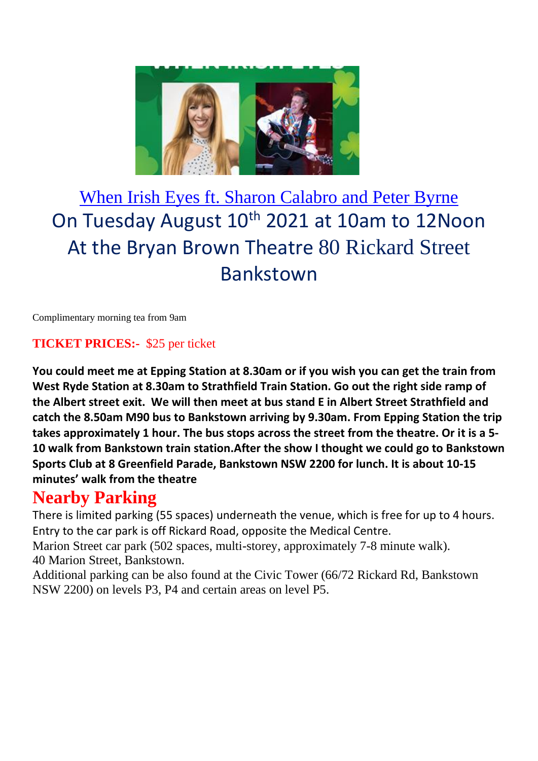

### When Irish Eyes ft. Sharon Calabro and Peter Byrne On Tuesday August 10<sup>th</sup> 2021 at 10am to 12Noon At the Bryan Brown Theatre 80 Rickard Street Bankstown

Complimentary morning tea from 9am

#### **TICKET PRICES:-** \$25 per ticket

**You could meet me at Epping Station at 8.30am or if you wish you can get the train from West Ryde Station at 8.30am to Strathfield Train Station. Go out the right side ramp of the Albert street exit. We will then meet at bus stand E in Albert Street Strathfield and catch the 8.50am M90 bus to Bankstown arriving by 9.30am. From Epping Station the trip takes approximately 1 hour. The bus stops across the street from the theatre. Or it is a 5- 10 walk from Bankstown train station.After the show I thought we could go to Bankstown Sports Club at 8 Greenfield Parade, Bankstown NSW 2200 for lunch. It is about 10-15 minutes' walk from the theatre**

#### **Nearby Parking**

There is limited parking (55 spaces) underneath the venue, which is free for up to 4 hours. Entry to the car park is off Rickard Road, opposite the Medical Centre.

Marion Street car park (502 spaces, multi-storey, approximately 7-8 minute walk). 40 Marion Street, Bankstown.

Additional parking can be also found at the Civic Tower (66/72 Rickard Rd, Bankstown NSW 2200) on levels P3, P4 and certain areas on level P5.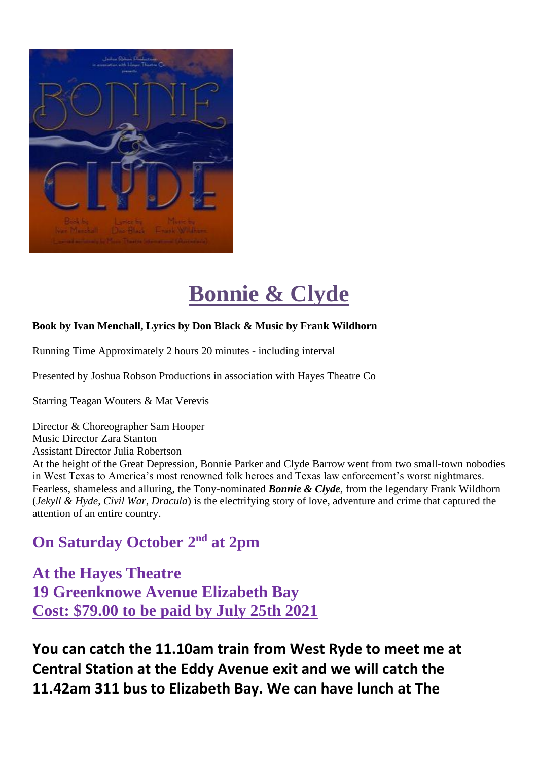

### **Bonnie & Clyde**

#### **Book by Ivan Menchall, Lyrics by Don Black & Music by Frank Wildhorn**

Running Time Approximately 2 hours 20 minutes - including interval

Presented by Joshua Robson Productions in association with Hayes Theatre Co

Starring Teagan Wouters & Mat Verevis

Director & Choreographer Sam Hooper Music Director Zara Stanton Assistant Director Julia Robertson At the height of the Great Depression, Bonnie Parker and Clyde Barrow went from two small-town nobodies in West Texas to America's most renowned folk heroes and Texas law enforcement's worst nightmares. Fearless, shameless and alluring, the Tony-nominated *Bonnie & Clyde,* from the legendary Frank Wildhorn (*Jekyll & Hyde*, *Civil War*, *Dracula*) is the electrifying story of love, adventure and crime that captured the attention of an entire country.

### **On Saturday October 2nd at 2pm**

**At the Hayes Theatre 19 Greenknowe Avenue Elizabeth Bay Cost: \$79.00 to be paid by July 25th 2021**

**You can catch the 11.10am train from West Ryde to meet me at Central Station at the Eddy Avenue exit and we will catch the 11.42am 311 bus to Elizabeth Bay. We can have lunch at The**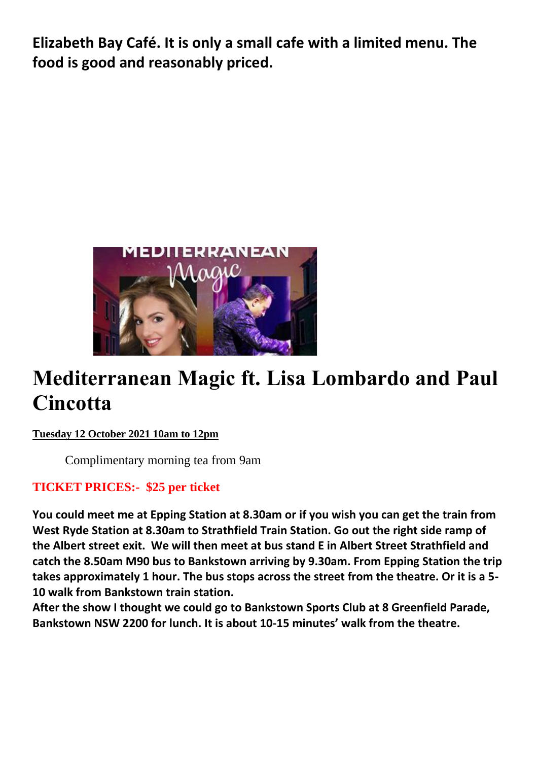**Elizabeth Bay Café. It is only a small cafe with a limited menu. The food is good and reasonably priced.** 



### **Mediterranean Magic ft. Lisa Lombardo and Paul Cincotta**

#### **Tuesday 12 October 2021 10am to 12pm**

Complimentary morning tea from 9am

#### **TICKET PRICES:- \$25 per ticket**

**You could meet me at Epping Station at 8.30am or if you wish you can get the train from West Ryde Station at 8.30am to Strathfield Train Station. Go out the right side ramp of the Albert street exit. We will then meet at bus stand E in Albert Street Strathfield and catch the 8.50am M90 bus to Bankstown arriving by 9.30am. From Epping Station the trip takes approximately 1 hour. The bus stops across the street from the theatre. Or it is a 5- 10 walk from Bankstown train station.**

**After the show I thought we could go to Bankstown Sports Club at 8 Greenfield Parade, Bankstown NSW 2200 for lunch. It is about 10-15 minutes' walk from the theatre.**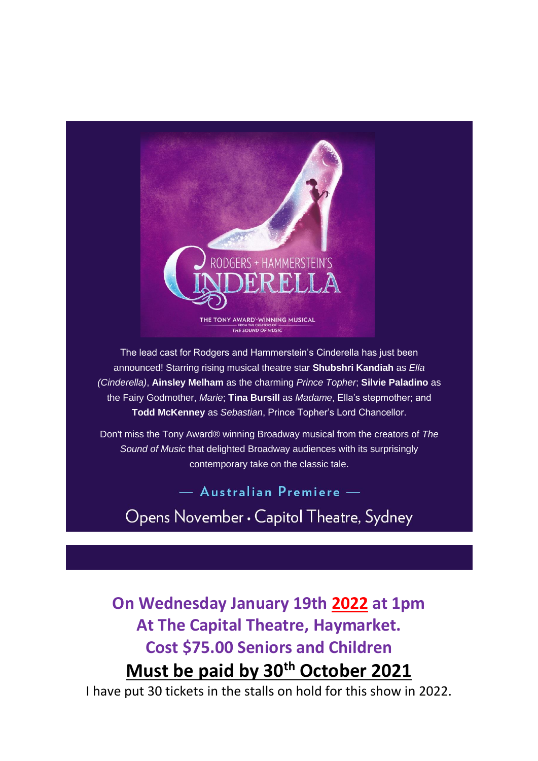

The lead cast for Rodgers and Hammerstein's Cinderella has just been announced! Starring rising musical theatre star **Shubshri Kandiah** as *Ella (Cinderella)*, **Ainsley Melham** as the charming *Prince Topher*; **Silvie Paladino** as the Fairy Godmother, *Marie*; **Tina Bursill** as *Madame*, Ella's stepmother; and **Todd McKenney** as *Sebastian*, Prince Topher's Lord Chancellor.

Don't miss the Tony Award® winning Broadway musical from the creators of *The Sound of Music* that delighted Broadway audiences with its surprisingly contemporary take on the classic tale.

- Australian Premiere -

Opens November . Capitol Theatre, Sydney

**On Wednesday January 19th 2022 at 1pm At The Capital Theatre, Haymarket. Cost \$75.00 Seniors and Children Must be paid by 30th October 2021**

I have put 30 tickets in the stalls on hold for this show in 2022.